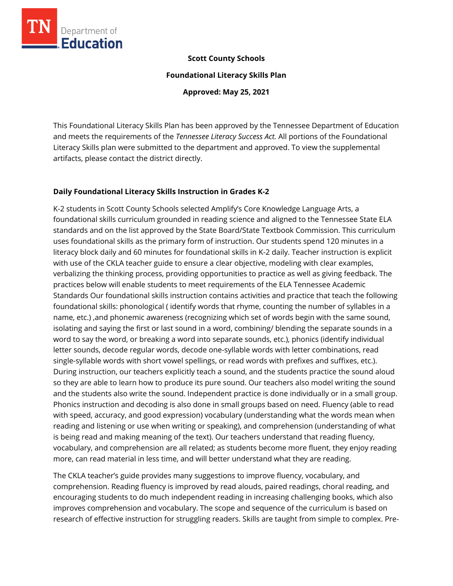

#### **Scott County Schools**

**Foundational Literacy Skills Plan**

**Approved: May 25, 2021**

This Foundational Literacy Skills Plan has been approved by the Tennessee Department of Education and meets the requirements of the *Tennessee Literacy Success Act.* All portions of the Foundational Literacy Skills plan were submitted to the department and approved. To view the supplemental artifacts, please contact the district directly.

#### **Daily Foundational Literacy Skills Instruction in Grades K-2**

K-2 students in Scott County Schools selected Amplify's Core Knowledge Language Arts, a foundational skills curriculum grounded in reading science and aligned to the Tennessee State ELA standards and on the list approved by the State Board/State Textbook Commission. This curriculum uses foundational skills as the primary form of instruction. Our students spend 120 minutes in a literacy block daily and 60 minutes for foundational skills in K-2 daily. Teacher instruction is explicit with use of the CKLA teacher guide to ensure a clear objective, modeling with clear examples, verbalizing the thinking process, providing opportunities to practice as well as giving feedback. The practices below will enable students to meet requirements of the ELA Tennessee Academic Standards Our foundational skills instruction contains activities and practice that teach the following foundational skills: phonological ( identify words that rhyme, counting the number of syllables in a name, etc.) ,and phonemic awareness (recognizing which set of words begin with the same sound, isolating and saying the first or last sound in a word, combining/ blending the separate sounds in a word to say the word, or breaking a word into separate sounds, etc.), phonics (identify individual letter sounds, decode regular words, decode one-syllable words with letter combinations, read single-syllable words with short vowel spellings, or read words with prefixes and suffixes, etc.). During instruction, our teachers explicitly teach a sound, and the students practice the sound aloud so they are able to learn how to produce its pure sound. Our teachers also model writing the sound and the students also write the sound. Independent practice is done individually or in a small group. Phonics instruction and decoding is also done in small groups based on need. Fluency (able to read with speed, accuracy, and good expression) vocabulary (understanding what the words mean when reading and listening or use when writing or speaking), and comprehension (understanding of what is being read and making meaning of the text). Our teachers understand that reading fluency, vocabulary, and comprehension are all related; as students become more fluent, they enjoy reading more, can read material in less time, and will better understand what they are reading.

The CKLA teacher's guide provides many suggestions to improve fluency, vocabulary, and comprehension. Reading fluency is improved by read alouds, paired readings, choral reading, and encouraging students to do much independent reading in increasing challenging books, which also improves comprehension and vocabulary. The scope and sequence of the curriculum is based on research of effective instruction for struggling readers. Skills are taught from simple to complex. Pre-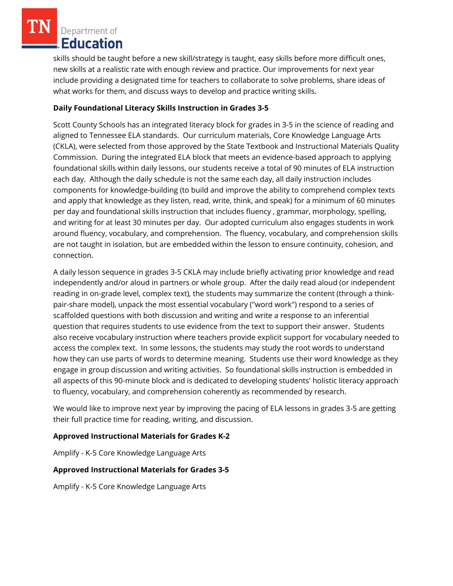skills should be taught before a new skill/strategy is taught, easy skills before more difficult ones, new skills at a realistic rate with enough review and practice. Our improvements for next year include providing a designated time for teachers to collaborate to solve problems, share ideas of what works for them, and discuss ways to develop and practice writing skills.

## **Daily Foundational Literacy Skills Instruction in Grades 3-5**

Scott County Schools has an integrated literacy block for grades in 3-5 in the science of reading and aligned to Tennessee ELA standards. Our curriculum materials, Core Knowledge Language Arts (CKLA), were selected from those approved by the State Textbook and Instructional Materials Quality Commission. During the integrated ELA block that meets an evidence-based approach to applying foundational skills within daily lessons, our students receive a total of 90 minutes of ELA instruction each day. Although the daily schedule is not the same each day, all daily instruction includes components for knowledge-building (to build and improve the ability to comprehend complex texts and apply that knowledge as they listen, read, write, think, and speak) for a minimum of 60 minutes per day and foundational skills instruction that includes fluency , grammar, morphology, spelling, and writing for at least 30 minutes per day. Our adopted curriculum also engages students in work around fluency, vocabulary, and comprehension. The fluency, vocabulary, and comprehension skills are not taught in isolation, but are embedded within the lesson to ensure continuity, cohesion, and connection.

A daily lesson sequence in grades 3-5 CKLA may include briefly activating prior knowledge and read independently and/or aloud in partners or whole group. After the daily read aloud (or independent reading in on-grade level, complex text), the students may summarize the content (through a thinkpair-share model), unpack the most essential vocabulary ("word work") respond to a series of scaffolded questions with both discussion and writing and write a response to an inferential question that requires students to use evidence from the text to support their answer. Students also receive vocabulary instruction where teachers provide explicit support for vocabulary needed to access the complex text. In some lessons, the students may study the root words to understand how they can use parts of words to determine meaning. Students use their word knowledge as they engage in group discussion and writing activities. So foundational skills instruction is embedded in all aspects of this 90-minute block and is dedicated to developing students' holistic literacy approach to fluency, vocabulary, and comprehension coherently as recommended by research.

We would like to improve next year by improving the pacing of ELA lessons in grades 3-5 are getting their full practice time for reading, writing, and discussion.

### **Approved Instructional Materials for Grades K-2**

Amplify - K-5 Core Knowledge Language Arts

### **Approved Instructional Materials for Grades 3-5**

Amplify - K-5 Core Knowledge Language Arts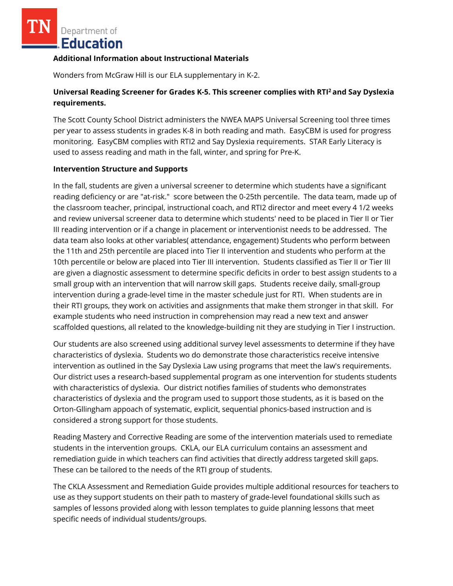#### **Additional Information about Instructional Materials**

Wonders from McGraw Hill is our ELA supplementary in K-2.

# **Universal Reading Screener for Grades K-5. This screener complies with RTI<sup>2</sup>and Say Dyslexia requirements.**

The Scott County School District administers the NWEA MAPS Universal Screening tool three times per year to assess students in grades K-8 in both reading and math. EasyCBM is used for progress monitoring. EasyCBM complies with RTI2 and Say Dyslexia requirements. STAR Early Literacy is used to assess reading and math in the fall, winter, and spring for Pre-K.

### **Intervention Structure and Supports**

In the fall, students are given a universal screener to determine which students have a significant reading deficiency or are "at-risk." score between the 0-25th percentile. The data team, made up of the classroom teacher, principal, instructional coach, and RTI2 director and meet every 4 1/2 weeks and review universal screener data to determine which students' need to be placed in Tier II or Tier III reading intervention or if a change in placement or interventionist needs to be addressed. The data team also looks at other variables( attendance, engagement) Students who perform between the 11th and 25th percentile are placed into Tier II intervention and students who perform at the 10th percentile or below are placed into Tier III intervention. Students classified as Tier II or Tier III are given a diagnostic assessment to determine specific deficits in order to best assign students to a small group with an intervention that will narrow skill gaps. Students receive daily, small-group intervention during a grade-level time in the master schedule just for RTI. When students are in their RTI groups, they work on activities and assignments that make them stronger in that skill. For example students who need instruction in comprehension may read a new text and answer scaffolded questions, all related to the knowledge-building nit they are studying in Tier I instruction.

Our students are also screened using additional survey level assessments to determine if they have characteristics of dyslexia. Students wo do demonstrate those characteristics receive intensive intervention as outlined in the Say Dyslexia Law using programs that meet the law's requirements. Our district uses a research-based supplemental program as one intervention for students students with characteristics of dyslexia. Our district notifies families of students who demonstrates characteristics of dyslexia and the program used to support those students, as it is based on the Orton-Gllingham appoach of systematic, explicit, sequential phonics-based instruction and is considered a strong support for those students.

Reading Mastery and Corrective Reading are some of the intervention materials used to remediate students in the intervention groups. CKLA, our ELA curriculum contains an assessment and remediation guide in which teachers can find activities that directly address targeted skill gaps. These can be tailored to the needs of the RTI group of students.

The CKLA Assessment and Remediation Guide provides multiple additional resources for teachers to use as they support students on their path to mastery of grade-level foundational skills such as samples of lessons provided along with lesson templates to guide planning lessons that meet specific needs of individual students/groups.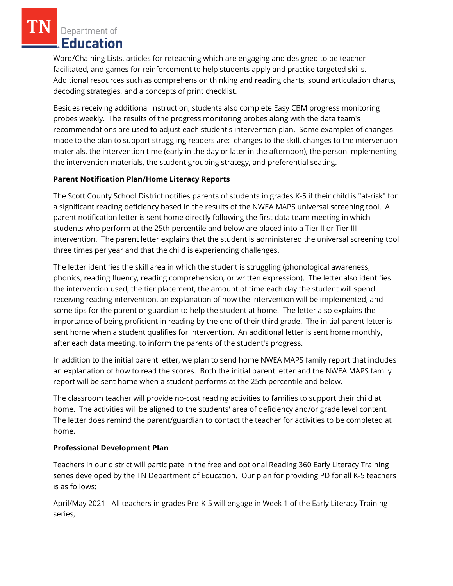Word/Chaining Lists, articles for reteaching which are engaging and designed to be teacherfacilitated, and games for reinforcement to help students apply and practice targeted skills. Additional resources such as comprehension thinking and reading charts, sound articulation charts, decoding strategies, and a concepts of print checklist.

Besides receiving additional instruction, students also complete Easy CBM progress monitoring probes weekly. The results of the progress monitoring probes along with the data team's recommendations are used to adjust each student's intervention plan. Some examples of changes made to the plan to support struggling readers are: changes to the skill, changes to the intervention materials, the intervention time (early in the day or later in the afternoon), the person implementing the intervention materials, the student grouping strategy, and preferential seating.

# **Parent Notification Plan/Home Literacy Reports**

The Scott County School District notifies parents of students in grades K-5 if their child is "at-risk" for a significant reading deficiency based in the results of the NWEA MAPS universal screening tool. A parent notification letter is sent home directly following the first data team meeting in which students who perform at the 25th percentile and below are placed into a Tier II or Tier III intervention. The parent letter explains that the student is administered the universal screening tool three times per year and that the child is experiencing challenges.

The letter identifies the skill area in which the student is struggling (phonological awareness, phonics, reading fluency, reading comprehension, or written expression). The letter also identifies the intervention used, the tier placement, the amount of time each day the student will spend receiving reading intervention, an explanation of how the intervention will be implemented, and some tips for the parent or guardian to help the student at home. The letter also explains the importance of being proficient in reading by the end of their third grade. The initial parent letter is sent home when a student qualifies for intervention. An additional letter is sent home monthly, after each data meeting, to inform the parents of the student's progress.

In addition to the initial parent letter, we plan to send home NWEA MAPS family report that includes an explanation of how to read the scores. Both the initial parent letter and the NWEA MAPS family report will be sent home when a student performs at the 25th percentile and below.

The classroom teacher will provide no-cost reading activities to families to support their child at home. The activities will be aligned to the students' area of deficiency and/or grade level content. The letter does remind the parent/guardian to contact the teacher for activities to be completed at home.

# **Professional Development Plan**

Teachers in our district will participate in the free and optional Reading 360 Early Literacy Training series developed by the TN Department of Education. Our plan for providing PD for all K-5 teachers is as follows:

April/May 2021 - All teachers in grades Pre-K-5 will engage in Week 1 of the Early Literacy Training series,